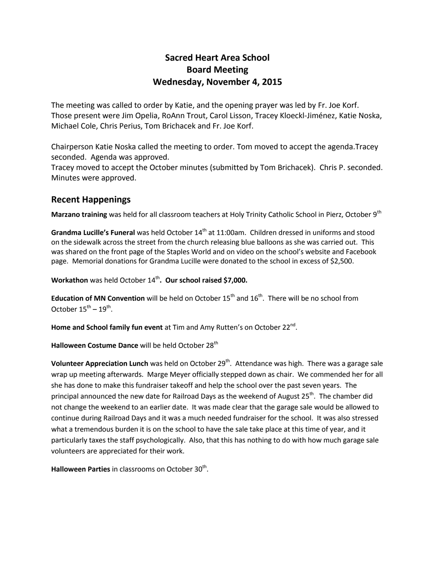# **Sacred Heart Area School Board Meeting Wednesday, November 4, 2015**

The meeting was called to order by Katie, and the opening prayer was led by Fr. Joe Korf. Those present were Jim Opelia, RoAnn Trout, Carol Lisson, Tracey Kloeckl-Jiménez, Katie Noska, Michael Cole, Chris Perius, Tom Brichacek and Fr. Joe Korf.

Chairperson Katie Noska called the meeting to order. Tom moved to accept the agenda.Tracey seconded. Agenda was approved.

Tracey moved to accept the October minutes (submitted by Tom Brichacek). Chris P. seconded. Minutes were approved.

### **Recent Happenings**

**Marzano training** was held for all classroom teachers at Holy Trinity Catholic School in Pierz, October 9th

Grandma Lucille's Funeral was held October 14<sup>th</sup> at 11:00am. Children dressed in uniforms and stood on the sidewalk across the street from the church releasing blue balloons as she was carried out. This was shared on the front page of the Staples World and on video on the school's website and Facebook page. Memorial donations for Grandma Lucille were donated to the school in excess of \$2,500.

**Workathon** was held October 14<sup>th</sup>. Our school raised \$7,000.

**Education of MN Convention** will be held on October 15<sup>th</sup> and 16<sup>th</sup>. There will be no school from October  $15^{\text{th}} - 19^{\text{th}}$ .

**Home and School family fun event** at Tim and Amy Rutten's on October 22<sup>nd</sup>.

Halloween Costume Dance will be held October 28<sup>th</sup>

**Volunteer Appreciation Lunch** was held on October 29<sup>th</sup>. Attendance was high. There was a garage sale wrap up meeting afterwards. Marge Meyer officially stepped down as chair. We commended her for all she has done to make this fundraiser takeoff and help the school over the past seven years. The principal announced the new date for Railroad Days as the weekend of August 25<sup>th</sup>. The chamber did not change the weekend to an earlier date. It was made clear that the garage sale would be allowed to continue during Railroad Days and it was a much needed fundraiser for the school. It was also stressed what a tremendous burden it is on the school to have the sale take place at this time of year, and it particularly taxes the staff psychologically. Also, that this has nothing to do with how much garage sale volunteers are appreciated for their work.

Halloween Parties in classrooms on October 30<sup>th</sup>.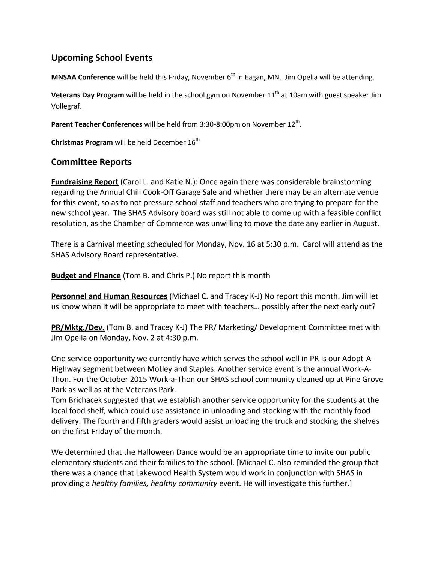## **Upcoming School Events**

**MNSAA Conference** will be held this Friday, November 6<sup>th</sup> in Eagan, MN. Jim Opelia will be attending.

**Veterans Day Program** will be held in the school gym on November 11<sup>th</sup> at 10am with guest speaker Jim Vollegraf.

Parent Teacher Conferences will be held from 3:30-8:00pm on November 12<sup>th</sup>.

**Christmas Program** will be held December 16<sup>th</sup>

### **Committee Reports**

**Fundraising Report** (Carol L. and Katie N.): Once again there was considerable brainstorming regarding the Annual Chili Cook-Off Garage Sale and whether there may be an alternate venue for this event, so as to not pressure school staff and teachers who are trying to prepare for the new school year. The SHAS Advisory board was still not able to come up with a feasible conflict resolution, as the Chamber of Commerce was unwilling to move the date any earlier in August.

There is a Carnival meeting scheduled for Monday, Nov. 16 at 5:30 p.m. Carol will attend as the SHAS Advisory Board representative.

**Budget and Finance** (Tom B. and Chris P.) No report this month

**Personnel and Human Resources** (Michael C. and Tracey K-J) No report this month. Jim will let us know when it will be appropriate to meet with teachers… possibly after the next early out?

**PR/Mktg./Dev.** (Tom B. and Tracey K-J) The PR/ Marketing/ Development Committee met with Jim Opelia on Monday, Nov. 2 at 4:30 p.m.

One service opportunity we currently have which serves the school well in PR is our Adopt-A-Highway segment between Motley and Staples. Another service event is the annual Work-A-Thon. For the October 2015 Work-a-Thon our SHAS school community cleaned up at Pine Grove Park as well as at the Veterans Park.

Tom Brichacek suggested that we establish another service opportunity for the students at the local food shelf, which could use assistance in unloading and stocking with the monthly food delivery. The fourth and fifth graders would assist unloading the truck and stocking the shelves on the first Friday of the month.

We determined that the Halloween Dance would be an appropriate time to invite our public elementary students and their families to the school. [Michael C. also reminded the group that there was a chance that Lakewood Health System would work in conjunction with SHAS in providing a *healthy families, healthy community* event. He will investigate this further.]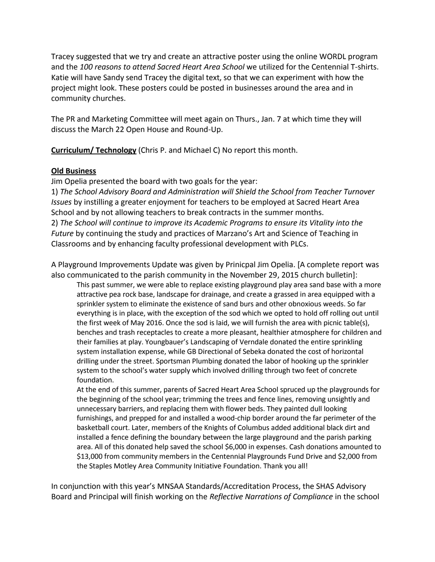Tracey suggested that we try and create an attractive poster using the online WORDL program and the *100 reasons to attend Sacred Heart Area School* we utilized for the Centennial T-shirts. Katie will have Sandy send Tracey the digital text, so that we can experiment with how the project might look. These posters could be posted in businesses around the area and in community churches.

The PR and Marketing Committee will meet again on Thurs., Jan. 7 at which time they will discuss the March 22 Open House and Round-Up.

**Curriculum/ Technology** (Chris P. and Michael C) No report this month.

### **Old Business**

Jim Opelia presented the board with two goals for the year:

1) *The School Advisory Board and Administration will Shield the School from Teacher Turnover Issues* by instilling a greater enjoyment for teachers to be employed at Sacred Heart Area School and by not allowing teachers to break contracts in the summer months. 2) *The School will continue to improve its Academic Programs to ensure its Vitality into the Future* by continuing the study and practices of Marzano's Art and Science of Teaching in Classrooms and by enhancing faculty professional development with PLCs.

A Playground Improvements Update was given by Prinicpal Jim Opelia. [A complete report was also communicated to the parish community in the November 29, 2015 church bulletin]:

This past summer, we were able to replace existing playground play area sand base with a more attractive pea rock base, landscape for drainage, and create a grassed in area equipped with a sprinkler system to eliminate the existence of sand burs and other obnoxious weeds. So far everything is in place, with the exception of the sod which we opted to hold off rolling out until the first week of May 2016. Once the sod is laid, we will furnish the area with picnic table(s), benches and trash receptacles to create a more pleasant, healthier atmosphere for children and their families at play. Youngbauer's Landscaping of Verndale donated the entire sprinkling system installation expense, while GB Directional of Sebeka donated the cost of horizontal drilling under the street. Sportsman Plumbing donated the labor of hooking up the sprinkler system to the school's water supply which involved drilling through two feet of concrete foundation.

At the end of this summer, parents of Sacred Heart Area School spruced up the playgrounds for the beginning of the school year; trimming the trees and fence lines, removing unsightly and unnecessary barriers, and replacing them with flower beds. They painted dull looking furnishings, and prepped for and installed a wood-chip border around the far perimeter of the basketball court. Later, members of the Knights of Columbus added additional black dirt and installed a fence defining the boundary between the large playground and the parish parking area. All of this donated help saved the school \$6,000 in expenses. Cash donations amounted to \$13,000 from community members in the Centennial Playgrounds Fund Drive and \$2,000 from the Staples Motley Area Community Initiative Foundation. Thank you all!

In conjunction with this year's MNSAA Standards/Accreditation Process, the SHAS Advisory Board and Principal will finish working on the *Reflective Narrations of Compliance* in the school